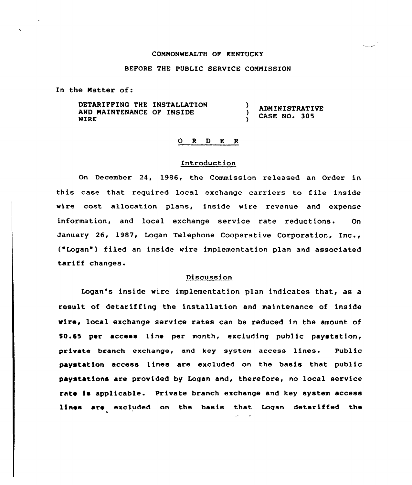#### CQNHONWEALTH OF KENTUCKY

## BEFORE THE PUBLIC SERUICE COMMISSION

In the Natter of:

DETARIFFING THE INSTALLATION **ADMINISTRATIVE** AND NAINTENANCE OF INSIDE A. CASE NO. 305 WIRE

### 0 R <sup>D</sup> <sup>E</sup> R

### Introduction

On December 24, 1986, the Commission released an Order in this case that required local exchange carriers to file inside wire cost allocation plans, inside wire revenue and expense information, and local exchange service rate reductions. On January 26, 1987, Logan Telephone Cooperative Corporation, Inc., ("Logan') filed an inside wire implementation plan and associated tariff changes.

# Discussion

Logan's inside wire implementation plan indicates that, as a result of detariffing the installation and maintenance of inside wire, local exchange service rates can be reduced in the amount of \$0.55 per access line per month, excluding puhlic paystation, private branch exchange, and key system access lines. Public paystation access lines are excluded on the basis that public paystations are provided by Logan and, therefore, no local service rate is applicable. Private branch exchange and key system access lines are excluded on the basis that Logan detariffed the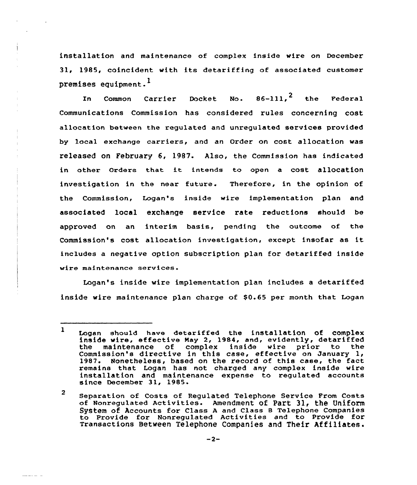installation and maintenance of complex inside wire on December 31, 1985, coincident with its detariffing of associated customer premises equipment.<sup>1</sup>

In Common Carrier Docket No.  $86-111$ ,  $2$  the Federal Communications Commission has considered rules concerning cost allocation between the regulated and unregulated services provided by local exchange carriers, and an Order on cost allocation was released on February 6, 1987. Also, the Commission has indicated in other Orders that it intends to open <sup>a</sup> cost allocation investigation in the near future. Therefore, in the opinion of the Commission, Logan's inside wire implementation plan and associated local exchange service rate reductions should be approved on an interim basis, pending the outcome of the Commission's cost allocation investigation, except insofar as it includes a negative option subscription plan for detariffed inside wire maintenance services.

Logan's inside wire implementation plan includes a detariffed inside wire maintenance plan charge of \$0.65 per month that Logan

<sup>1</sup> Logan should have detariffed the installation of complex inside wire, effective Nay 2, 1984, and, evidently, detariffed maintenance of complex inside wire prior to Commission's directive in this case, effective on January 1, 1987. Nonetheless, based on the record of this case, the fact remains that Logan has not charged any complex inside wire installation and maintenance expense to regulated accounts since December 31, 1985.

<sup>2</sup> Separation of Costs of Regulated Telephone Service From Costs of Nonregulated Activities. Amendment of Part 31, the Uniform System of Accounts for class <sup>A</sup> and class 8 Telephone companies to Provide for Nonregulated Activities and to Provide for Transactions Between Telephone Companies and Their Affiliates.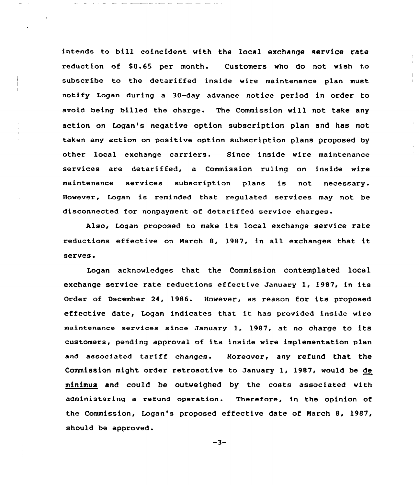intends to bill coincident with the local exchange service rate reduction of \$0.65 per month. Customers who do not wish to subscribe to the detariffed inside wire maintenance plan must notify Logan during a 30-day advance notice period in order to avoid being billed the charge. The Commission will not take any action on Logan's negative option subscription plan and has not taken any action on positive option subscription plans proposed by other local exchange carriers. Since inside wire maintenance services are detariffed, a Commission ruling on inside wire maintenance services subscxiption plans is not necessary. However, Logan is reminded that regulated services may not be disconnected for nonpayment of detariffed service charges.

Also, Logan pxoposed to make its local exchange service rate xeductions effective on March 8, 1987, in all exchanges that it serves.

Logan acknowledges that the Commission contemplated local exchange service rate reductions effective January 1, 1987, in its Order of December 24, 1986. However, as reason fox its proposed effective date, Logan indicates that it has provided inside wire maintenance services since January 1, 1987, at no charge to its customers, pending approval of its inside wire implementation plan and associated tariff changes. Moreover, any refund that the Commission might order retroactive to January 1, 1987, would be de minimus and could be outweighed by the costs associated with administering a refund operation. Therefore, in the opinion of the Commission, Logan's proposed effective date of March 8, 1987, should be approved.

 $-3-$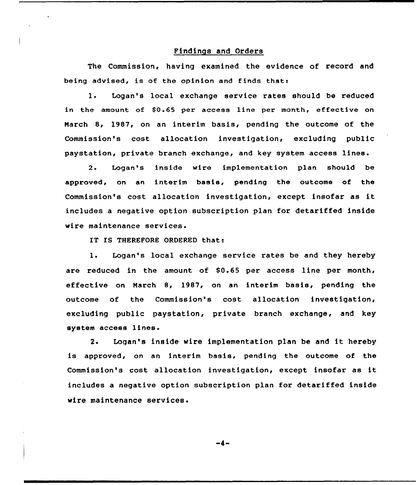# Findings and Orders

The Commission, having examined the evidence of record and being advised, is of the opinion and finds that:

1. Logan's local exchange service rates should be reduced in the amount of \$0.65 per access line per month, effective on Narch 8, 1987, on an interim basis, pending the outcome of the Commission's cost allocation investigation< excluding public paystation, private branch exchange, and key system access lines.

2. Logan's inside wire implementation plan should be approved, on an interim basis, pending the outcome of the Commission's cost allocation investigation, except insofar as it includes a negative option subscription plan for detariffed inside wire maintenance services.

IT IS THEREFORE ORDERED that:

1. Logan's local exchange service rates be and they hereby are reduced in the amount of  $$0.65$  per access line per month, effective on March 8, 1987, on an interim basis, pending the outcome of the Commission's cost allocation investigation, excluding public paystation, private branch exchange, and key system access lines.

2. Logan's inside wire implementation plan be and it hereby is approved, on an interim basis, pending the outcome of the Commission's cost allocation investigation, except insofar as it includes a negative option subscription plan for detariffed inside wire maintenance services.

-4-